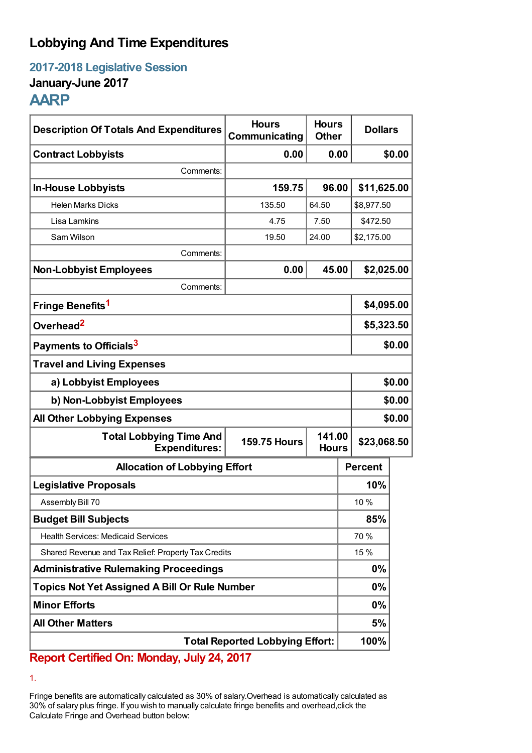# **Lobbying And Time Expenditures**

**2017-2018 Legislative Session**

### **January-June 2017**

## **AARP**

| <b>Description Of Totals And Expenditures</b>          | <b>Hours</b><br>Communicating | <b>Hours</b><br><b>Other</b> | <b>Dollars</b> |            |  |
|--------------------------------------------------------|-------------------------------|------------------------------|----------------|------------|--|
| <b>Contract Lobbyists</b>                              | 0.00                          | 0.00                         |                | \$0.00     |  |
| Comments:                                              |                               |                              |                |            |  |
| <b>In-House Lobbyists</b>                              | 159.75                        | 96.00                        | \$11,625.00    |            |  |
| <b>Helen Marks Dicks</b>                               | 135.50                        | 64.50                        | \$8,977.50     |            |  |
| Lisa Lamkins                                           | 4.75                          | 7.50                         | \$472.50       |            |  |
| Sam Wilson                                             | 19.50                         | 24.00<br>\$2,175.00          |                |            |  |
| Comments:                                              |                               |                              |                |            |  |
| <b>Non-Lobbyist Employees</b>                          | 0.00                          | 45.00                        | \$2,025.00     |            |  |
| Comments:                                              |                               |                              |                |            |  |
| Fringe Benefits <sup>1</sup>                           |                               |                              | \$4,095.00     |            |  |
| Overhead <sup>2</sup>                                  |                               |                              |                | \$5,323.50 |  |
| Payments to Officials <sup>3</sup>                     |                               |                              |                | \$0.00     |  |
| <b>Travel and Living Expenses</b>                      |                               |                              |                |            |  |
| a) Lobbyist Employees                                  |                               |                              |                | \$0.00     |  |
| b) Non-Lobbyist Employees                              |                               |                              |                | \$0.00     |  |
| <b>All Other Lobbying Expenses</b>                     |                               |                              |                | \$0.00     |  |
| <b>Total Lobbying Time And</b><br><b>Expenditures:</b> | <b>159.75 Hours</b>           | 141.00<br><b>Hours</b>       | \$23,068.50    |            |  |
| <b>Allocation of Lobbying Effort</b>                   |                               |                              | <b>Percent</b> |            |  |
| <b>Legislative Proposals</b>                           |                               |                              | 10%            |            |  |
| Assembly Bill 70                                       |                               |                              | 10 %           |            |  |
| <b>Budget Bill Subjects</b>                            |                               |                              | 85%            |            |  |
| <b>Health Services: Medicaid Services</b>              |                               |                              | 70 %           |            |  |
| Shared Revenue and Tax Relief: Property Tax Credits    |                               |                              | 15 %           |            |  |
| <b>Administrative Rulemaking Proceedings</b>           |                               |                              | $0\%$          |            |  |
| <b>Topics Not Yet Assigned A Bill Or Rule Number</b>   |                               |                              | $0\%$          |            |  |
| <b>Minor Efforts</b>                                   |                               |                              | $0\%$          |            |  |
| <b>All Other Matters</b>                               |                               |                              | 5%             |            |  |
| <b>Total Reported Lobbying Effort:</b>                 |                               |                              | 100%           |            |  |

## **Report Certified On: Monday, July 24, 2017**

1.

Fringe benefits are automatically calculated as 30% of salary.Overhead is automatically calculated as 30% of salary plus fringe. If you wish to manually calculate fringe benefits and overhead,click the Calculate Fringe and Overhead button below: